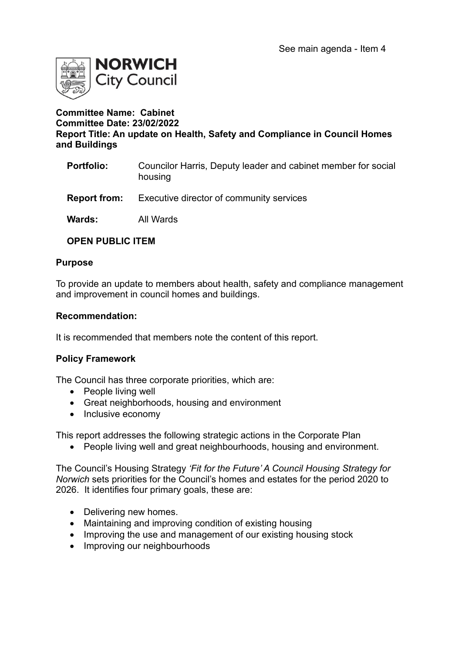

## **Committee Name: Cabinet Committee Date: 23/02/2022 Report Title: An update on Health, Safety and Compliance in Council Homes and Buildings**

- **Portfolio:** Councilor Harris, Deputy leader and cabinet member for social housing
- **Report from:** Executive director of community services
- **Wards:** All Wards

## **OPEN PUBLIC ITEM**

#### **Purpose**

To provide an update to members about health, safety and compliance management and improvement in council homes and buildings.

#### **Recommendation:**

It is recommended that members note the content of this report.

## **Policy Framework**

The Council has three corporate priorities, which are:

- People living well
- Great neighborhoods, housing and environment
- Inclusive economy

This report addresses the following strategic actions in the Corporate Plan

• People living well and great neighbourhoods, housing and environment.

The Council's Housing Strategy *'Fit for the Future' A Council Housing Strategy for Norwich* sets priorities for the Council's homes and estates for the period 2020 to 2026. It identifies four primary goals, these are:

- Delivering new homes.
- Maintaining and improving condition of existing housing
- Improving the use and management of our existing housing stock
- Improving our neighbourhoods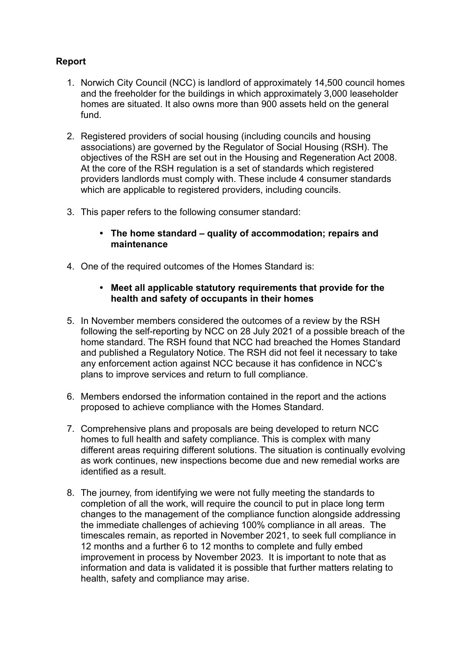# **Report**

- 1. Norwich City Council (NCC) is landlord of approximately 14,500 council homes and the freeholder for the buildings in which approximately 3,000 leaseholder homes are situated. It also owns more than 900 assets held on the general fund.
- 2. Registered providers of social housing (including councils and housing associations) are governed by the Regulator of Social Housing (RSH). The objectives of the RSH are set out in the Housing and Regeneration Act 2008. At the core of the RSH regulation is a set of standards which registered providers landlords must comply with. These include 4 consumer standards which are applicable to registered providers, including councils.
- 3. This paper refers to the following consumer standard:
	- **• The home standard – quality of accommodation; repairs and maintenance**
- 4. One of the required outcomes of the Homes Standard is:

## **• Meet all applicable statutory requirements that provide for the health and safety of occupants in their homes**

- 5. In November members considered the outcomes of a review by the RSH following the self-reporting by NCC on 28 July 2021 of a possible breach of the home standard. The RSH found that NCC had breached the Homes Standard and published a Regulatory Notice. The RSH did not feel it necessary to take any enforcement action against NCC because it has confidence in NCC's plans to improve services and return to full compliance.
- 6. Members endorsed the information contained in the report and the actions proposed to achieve compliance with the Homes Standard.
- 7. Comprehensive plans and proposals are being developed to return NCC homes to full health and safety compliance. This is complex with many different areas requiring different solutions. The situation is continually evolving as work continues, new inspections become due and new remedial works are identified as a result.
- 8. The journey, from identifying we were not fully meeting the standards to completion of all the work, will require the council to put in place long term changes to the management of the compliance function alongside addressing the immediate challenges of achieving 100% compliance in all areas. The timescales remain, as reported in November 2021, to seek full compliance in 12 months and a further 6 to 12 months to complete and fully embed improvement in process by November 2023. It is important to note that as information and data is validated it is possible that further matters relating to health, safety and compliance may arise.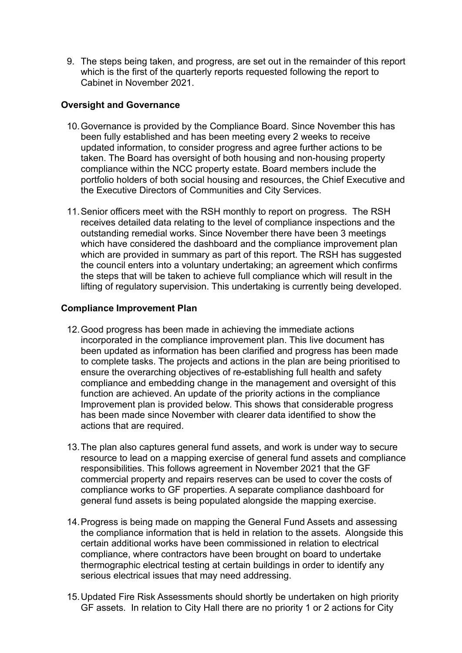9. The steps being taken, and progress, are set out in the remainder of this report which is the first of the quarterly reports requested following the report to Cabinet in November 2021.

## **Oversight and Governance**

- 10.Governance is provided by the Compliance Board. Since November this has been fully established and has been meeting every 2 weeks to receive updated information, to consider progress and agree further actions to be taken. The Board has oversight of both housing and non-housing property compliance within the NCC property estate. Board members include the portfolio holders of both social housing and resources, the Chief Executive and the Executive Directors of Communities and City Services.
- 11.Senior officers meet with the RSH monthly to report on progress. The RSH receives detailed data relating to the level of compliance inspections and the outstanding remedial works. Since November there have been 3 meetings which have considered the dashboard and the compliance improvement plan which are provided in summary as part of this report. The RSH has suggested the council enters into a voluntary undertaking; an agreement which confirms the steps that will be taken to achieve full compliance which will result in the lifting of regulatory supervision. This undertaking is currently being developed.

## **Compliance Improvement Plan**

- 12.Good progress has been made in achieving the immediate actions incorporated in the compliance improvement plan. This live document has been updated as information has been clarified and progress has been made to complete tasks. The projects and actions in the plan are being prioritised to ensure the overarching objectives of re-establishing full health and safety compliance and embedding change in the management and oversight of this function are achieved. An update of the priority actions in the compliance Improvement plan is provided below. This shows that considerable progress has been made since November with clearer data identified to show the actions that are required.
- 13.The plan also captures general fund assets, and work is under way to secure resource to lead on a mapping exercise of general fund assets and compliance responsibilities. This follows agreement in November 2021 that the GF commercial property and repairs reserves can be used to cover the costs of compliance works to GF properties. A separate compliance dashboard for general fund assets is being populated alongside the mapping exercise.
- 14.Progress is being made on mapping the General Fund Assets and assessing the compliance information that is held in relation to the assets. Alongside this certain additional works have been commissioned in relation to electrical compliance, where contractors have been brought on board to undertake thermographic electrical testing at certain buildings in order to identify any serious electrical issues that may need addressing.
- 15.Updated Fire Risk Assessments should shortly be undertaken on high priority GF assets. In relation to City Hall there are no priority 1 or 2 actions for City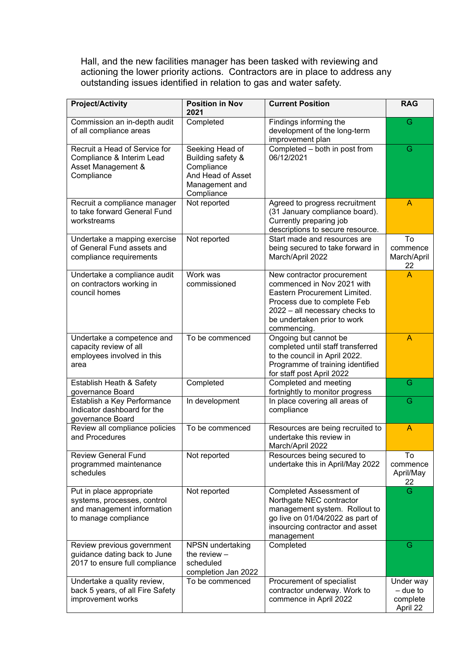Hall, and the new facilities manager has been tasked with reviewing and actioning the lower priority actions. Contractors are in place to address any outstanding issues identified in relation to gas and water safety.

| <b>Project/Activity</b>                                                                                       | <b>Position in Nov</b><br>2021                                                                          | <b>Current Position</b>                                                                                                                                                                                 | <b>RAG</b>                                    |
|---------------------------------------------------------------------------------------------------------------|---------------------------------------------------------------------------------------------------------|---------------------------------------------------------------------------------------------------------------------------------------------------------------------------------------------------------|-----------------------------------------------|
| Commission an in-depth audit<br>of all compliance areas                                                       | Completed                                                                                               | Findings informing the<br>development of the long-term<br>improvement plan                                                                                                                              | G                                             |
| Recruit a Head of Service for<br>Compliance & Interim Lead<br>Asset Management &<br>Compliance                | Seeking Head of<br>Building safety &<br>Compliance<br>And Head of Asset<br>Management and<br>Compliance | Completed - both in post from<br>06/12/2021                                                                                                                                                             | G                                             |
| Recruit a compliance manager<br>to take forward General Fund<br>workstreams                                   | Not reported                                                                                            | Agreed to progress recruitment<br>(31 January compliance board).<br>Currently preparing job<br>descriptions to secure resource.                                                                         | A                                             |
| Undertake a mapping exercise<br>of General Fund assets and<br>compliance requirements                         | Not reported                                                                                            | Start made and resources are<br>being secured to take forward in<br>March/April 2022                                                                                                                    | To<br>commence<br>March/April<br>22           |
| Undertake a compliance audit<br>on contractors working in<br>council homes                                    | Work was<br>commissioned                                                                                | New contractor procurement<br>commenced in Nov 2021 with<br>Eastern Procurement Limited.<br>Process due to complete Feb<br>2022 - all necessary checks to<br>be undertaken prior to work<br>commencing. | A                                             |
| Undertake a competence and<br>capacity review of all<br>employees involved in this<br>area                    | To be commenced                                                                                         | Ongoing but cannot be<br>completed until staff transferred<br>to the council in April 2022.<br>Programme of training identified<br>for staff post April 2022                                            | A                                             |
| Establish Heath & Safety<br>governance Board                                                                  | Completed                                                                                               | Completed and meeting<br>fortnightly to monitor progress                                                                                                                                                | G                                             |
| Establish a Key Performance<br>Indicator dashboard for the<br>governance Board                                | In development                                                                                          | In place covering all areas of<br>compliance                                                                                                                                                            | G                                             |
| Review all compliance policies<br>and Procedures                                                              | To be commenced                                                                                         | Resources are being recruited to<br>undertake this review in<br>March/April 2022                                                                                                                        | A                                             |
| <b>Review General Fund</b><br>programmed maintenance<br>schedules                                             | Not reported                                                                                            | Resources being secured to<br>undertake this in April/May 2022                                                                                                                                          | To<br>commence<br>April/May<br>22             |
| Put in place appropriate<br>systems, processes, control<br>and management information<br>to manage compliance | Not reported                                                                                            | Completed Assessment of<br>Northgate NEC contractor<br>management system. Rollout to<br>go live on 01/04/2022 as part of<br>insourcing contractor and asset<br>management                               | G                                             |
| Review previous government<br>guidance dating back to June<br>2017 to ensure full compliance                  | NPSN undertaking<br>the review $-$<br>scheduled<br>completion Jan 2022                                  | Completed                                                                                                                                                                                               | G                                             |
| Undertake a quality review,<br>back 5 years, of all Fire Safety<br>improvement works                          | To be commenced                                                                                         | Procurement of specialist<br>contractor underway. Work to<br>commence in April 2022                                                                                                                     | Under way<br>– due to<br>complete<br>April 22 |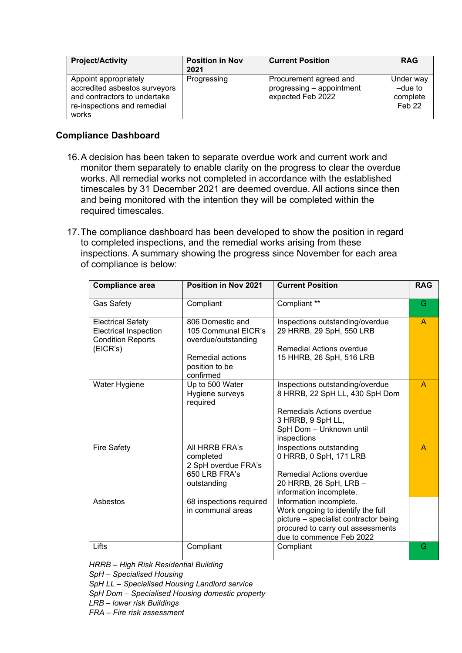| <b>Project/Activity</b>                                                                                                        | <b>Position in Nov</b><br>2021 | <b>Current Position</b>                                                  | <b>RAG</b>                                              |
|--------------------------------------------------------------------------------------------------------------------------------|--------------------------------|--------------------------------------------------------------------------|---------------------------------------------------------|
| Appoint appropriately<br>accredited asbestos surveyors<br>and contractors to undertake<br>re-inspections and remedial<br>works | Progressing                    | Procurement agreed and<br>progressing - appointment<br>expected Feb 2022 | Under way<br>$-due$ to<br>complete<br>Feb <sub>22</sub> |

## **Compliance Dashboard**

- 16.A decision has been taken to separate overdue work and current work and monitor them separately to enable clarity on the progress to clear the overdue works. All remedial works not completed in accordance with the established timescales by 31 December 2021 are deemed overdue. All actions since then and being monitored with the intention they will be completed within the required timescales.
- 17.The compliance dashboard has been developed to show the position in regard to completed inspections, and the remedial works arising from these inspections. A summary showing the progress since November for each area of compliance is below:

| <b>Compliance area</b>                                                                           | Position in Nov 2021                                                                                              | <b>Current Position</b>                                                                                                                                                | <b>RAG</b>   |
|--------------------------------------------------------------------------------------------------|-------------------------------------------------------------------------------------------------------------------|------------------------------------------------------------------------------------------------------------------------------------------------------------------------|--------------|
| <b>Gas Safety</b>                                                                                | Compliant                                                                                                         | Compliant **                                                                                                                                                           | G            |
| <b>Electrical Safety</b><br><b>Electrical Inspection</b><br><b>Condition Reports</b><br>(EICR's) | 806 Domestic and<br>105 Communal EICR's<br>overdue/outstanding<br>Remedial actions<br>position to be<br>confirmed | Inspections outstanding/overdue<br>29 HRRB, 29 SpH, 550 LRB<br>Remedial Actions overdue<br>15 HHRB, 26 SpH, 516 LRB                                                    | $\mathsf{A}$ |
| Water Hygiene                                                                                    | Up to 500 Water<br>Hygiene surveys<br>required                                                                    | Inspections outstanding/overdue<br>8 HRRB, 22 SpH LL, 430 SpH Dom<br>Remedials Actions overdue<br>3 HRRB, 9 SpH LL,<br>SpH Dom - Unknown until<br>inspections          | A            |
| <b>Fire Safety</b>                                                                               | All HRRB FRA's<br>completed<br>2 SpH overdue FRA's<br>650 LRB FRA's<br>outstanding                                | Inspections outstanding<br>0 HRRB, 0 SpH, 171 LRB<br>Remedial Actions overdue<br>20 HRRB, 26 SpH, LRB -<br>information incomplete.                                     | A            |
| Asbestos                                                                                         | 68 inspections required<br>in communal areas                                                                      | Information incomplete.<br>Work ongoing to identify the full<br>picture - specialist contractor being<br>procured to carry out assessments<br>due to commence Feb 2022 |              |
| Lifts                                                                                            | Compliant                                                                                                         | Compliant                                                                                                                                                              | G            |

*HRRB – High Risk Residential Building*

*SpH – Specialised Housing*

*SpH LL – Specialised Housing Landlord service*

*SpH Dom – Specialised Housing domestic property* 

*LRB – lower risk Buildings*

*FRA – Fire risk assessment*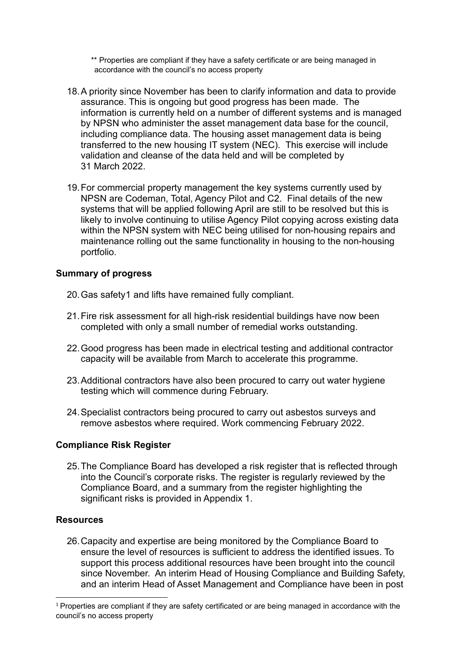\*\* Properties are compliant if they have a safety certificate or are being managed in accordance with the council's no access property

- 18.A priority since November has been to clarify information and data to provide assurance. This is ongoing but good progress has been made. The information is currently held on a number of different systems and is managed by NPSN who administer the asset management data base for the council, including compliance data. The housing asset management data is being transferred to the new housing IT system (NEC). This exercise will include validation and cleanse of the data held and will be completed by 31 March 2022.
- 19.For commercial property management the key systems currently used by NPSN are Codeman, Total, Agency Pilot and C2. Final details of the new systems that will be applied following April are still to be resolved but this is likely to involve continuing to utilise Agency Pilot copying across existing data within the NPSN system with NEC being utilised for non-housing repairs and maintenance rolling out the same functionality in housing to the non-housing portfolio.

## **Summary of progress**

- 20.Gas safety[1](#page-5-0) and lifts have remained fully compliant.
- 21.Fire risk assessment for all high-risk residential buildings have now been completed with only a small number of remedial works outstanding.
- 22.Good progress has been made in electrical testing and additional contractor capacity will be available from March to accelerate this programme.
- 23.Additional contractors have also been procured to carry out water hygiene testing which will commence during February.
- 24.Specialist contractors being procured to carry out asbestos surveys and remove asbestos where required. Work commencing February 2022.

# **Compliance Risk Register**

25.The Compliance Board has developed a risk register that is reflected through into the Council's corporate risks. The register is regularly reviewed by the Compliance Board, and a summary from the register highlighting the significant risks is provided in Appendix 1.

## **Resources**

26.Capacity and expertise are being monitored by the Compliance Board to ensure the level of resources is sufficient to address the identified issues. To support this process additional resources have been brought into the council since November. An interim Head of Housing Compliance and Building Safety, and an interim Head of Asset Management and Compliance have been in post

<span id="page-5-0"></span><sup>&</sup>lt;sup>1</sup> Properties are compliant if they are safety certificated or are being managed in accordance with the council's no access property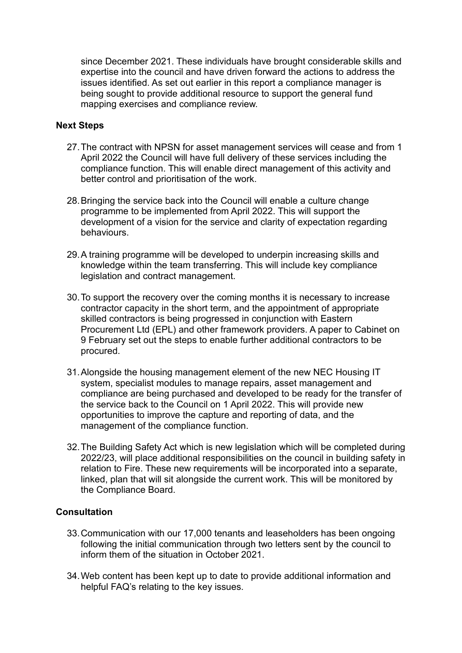since December 2021. These individuals have brought considerable skills and expertise into the council and have driven forward the actions to address the issues identified. As set out earlier in this report a compliance manager is being sought to provide additional resource to support the general fund mapping exercises and compliance review.

## **Next Steps**

- 27.The contract with NPSN for asset management services will cease and from 1 April 2022 the Council will have full delivery of these services including the compliance function. This will enable direct management of this activity and better control and prioritisation of the work.
- 28.Bringing the service back into the Council will enable a culture change programme to be implemented from April 2022. This will support the development of a vision for the service and clarity of expectation regarding behaviours.
- 29.A training programme will be developed to underpin increasing skills and knowledge within the team transferring. This will include key compliance legislation and contract management.
- 30.To support the recovery over the coming months it is necessary to increase contractor capacity in the short term, and the appointment of appropriate skilled contractors is being progressed in conjunction with Eastern Procurement Ltd (EPL) and other framework providers. A paper to Cabinet on 9 February set out the steps to enable further additional contractors to be procured.
- 31.Alongside the housing management element of the new NEC Housing IT system, specialist modules to manage repairs, asset management and compliance are being purchased and developed to be ready for the transfer of the service back to the Council on 1 April 2022. This will provide new opportunities to improve the capture and reporting of data, and the management of the compliance function.
- 32.The Building Safety Act which is new legislation which will be completed during 2022/23, will place additional responsibilities on the council in building safety in relation to Fire. These new requirements will be incorporated into a separate, linked, plan that will sit alongside the current work. This will be monitored by the Compliance Board.

# **Consultation**

- 33.Communication with our 17,000 tenants and leaseholders has been ongoing following the initial communication through two letters sent by the council to inform them of the situation in October 2021.
- 34.Web content has been kept up to date to provide additional information and helpful FAQ's relating to the key issues.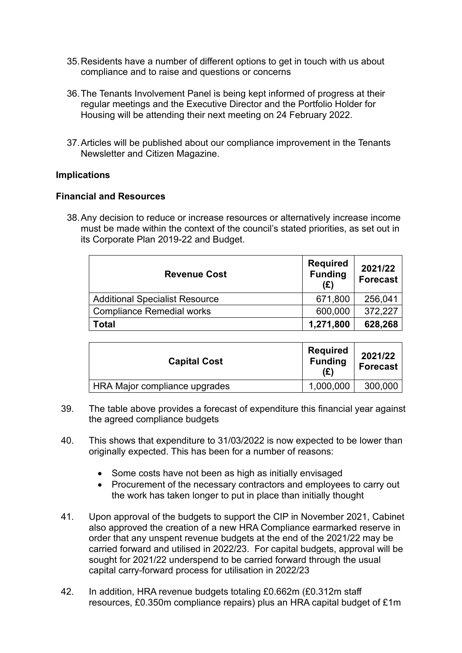- 35.Residents have a number of different options to get in touch with us about compliance and to raise and questions or concerns
- 36.The Tenants Involvement Panel is being kept informed of progress at their regular meetings and the Executive Director and the Portfolio Holder for Housing will be attending their next meeting on 24 February 2022.
- 37.Articles will be published about our compliance improvement in the Tenants Newsletter and Citizen Magazine.

## **Implications**

## **Financial and Resources**

38.Any decision to reduce or increase resources or alternatively increase income must be made within the context of the council's stated priorities, as set out in its Corporate Plan 2019-22 and Budget.

| <b>Revenue Cost</b>                   | <b>Required</b><br><b>Funding</b><br>(E) | 2021/22<br><b>Forecast</b> |
|---------------------------------------|------------------------------------------|----------------------------|
| <b>Additional Specialist Resource</b> | 671,800                                  | 256,041                    |
| <b>Compliance Remedial works</b>      | 600,000                                  | 372,227                    |
| Total                                 | 1,271,800                                | 628,268                    |

| <b>Capital Cost</b>           | <b>Required</b><br><b>Funding</b><br>(£) | 2021/22<br><b>Forecast</b> |
|-------------------------------|------------------------------------------|----------------------------|
| HRA Major compliance upgrades | 1,000,000                                | 300,000                    |

- 39. The table above provides a forecast of expenditure this financial year against the agreed compliance budgets
- 40. This shows that expenditure to 31/03/2022 is now expected to be lower than originally expected. This has been for a number of reasons:
	- Some costs have not been as high as initially envisaged
	- Procurement of the necessary contractors and employees to carry out the work has taken longer to put in place than initially thought
- 41. Upon approval of the budgets to support the CIP in November 2021, Cabinet also approved the creation of a new HRA Compliance earmarked reserve in order that any unspent revenue budgets at the end of the 2021/22 may be carried forward and utilised in 2022/23. For capital budgets, approval will be sought for 2021/22 underspend to be carried forward through the usual capital carry-forward process for utilisation in 2022/23
- 42. In addition, HRA revenue budgets totaling £0.662m (£0.312m staff resources, £0.350m compliance repairs) plus an HRA capital budget of £1m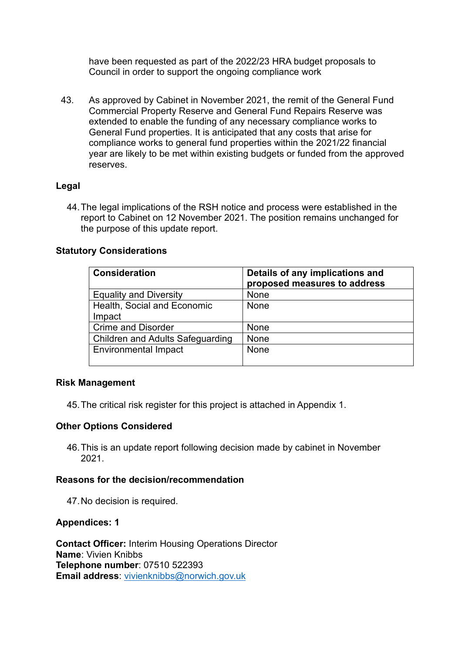have been requested as part of the 2022/23 HRA budget proposals to Council in order to support the ongoing compliance work

43. As approved by Cabinet in November 2021, the remit of the General Fund Commercial Property Reserve and General Fund Repairs Reserve was extended to enable the funding of any necessary compliance works to General Fund properties. It is anticipated that any costs that arise for compliance works to general fund properties within the 2021/22 financial year are likely to be met within existing budgets or funded from the approved reserves.

# **Legal**

44.The legal implications of the RSH notice and process were established in the report to Cabinet on 12 November 2021. The position remains unchanged for the purpose of this update report.

## **Statutory Considerations**

| <b>Consideration</b>                    | Details of any implications and<br>proposed measures to address |
|-----------------------------------------|-----------------------------------------------------------------|
| <b>Equality and Diversity</b>           | None                                                            |
| Health, Social and Economic<br>Impact   | None                                                            |
| <b>Crime and Disorder</b>               | None                                                            |
| <b>Children and Adults Safeguarding</b> | None                                                            |
| <b>Environmental Impact</b>             | None                                                            |

## **Risk Management**

45.The critical risk register for this project is attached in Appendix 1.

## **Other Options Considered**

46.This is an update report following decision made by cabinet in November 2021.

## **Reasons for the decision/recommendation**

47.No decision is required.

## **Appendices: 1**

**Contact Officer:** Interim Housing Operations Director **Name**: Vivien Knibbs **Telephone number**: 07510 522393 **Email address**: [vivienknibbs@norwich.gov.uk](mailto:vivienknibbs@norwich.gov.uk)